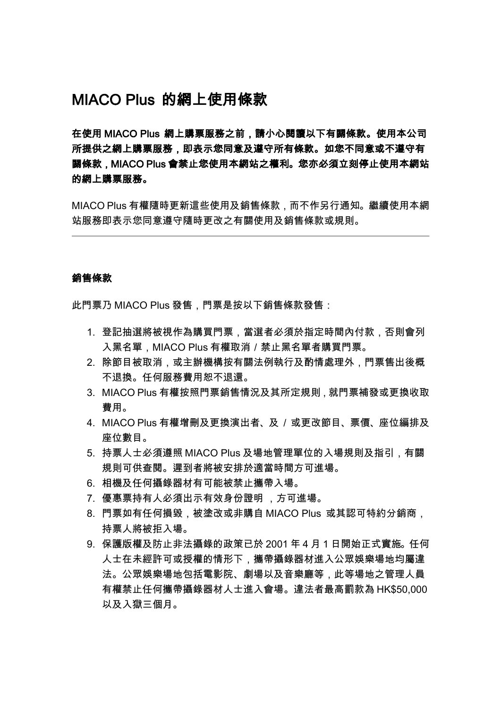# MIACO Plus 的網上使用條款

在使用 MIACO Plus 網上購票服務之前,請小心閱讀以下有關條款。使用本公司 所提供之網上購票服務,即表示您同意及遵守所有條款。如您不同意或不遵守有 關條款, MIACO Plus 會禁止您使用本網站之權利。您亦必須立刻停止使用本網站 的網上購票服務。

MIACO Plus 有權隨時更新這些使用及銷售條款,而不作另行通知。繼續使用本網 站服務即表示您同意遵守隨時更改之有關使用及銷售條款或規則。

### 銷售條款

此門票乃 MIACO Plus 發售,門票是按以下銷售條款發售:

- 1. 登記抽選將被視作為購買門票,當選者必須於指定時間內付款,否則會列 入黑名單, MIACO Plus 有權取消 / 禁止黑名單者購買門票。
- 2. 除節目被取消,或主辦機構按有關法例執行及酌情處理外,門票售出後概 不退換。任何服務費用恕不退還。
- 3. MIACO Plus 有權按照門票銷售情況及其所定規則,就門票補發或更換收取 費用。
- 4. MIACO Plus 有權增刪及更換演出者、及 / 或更改節目、票價、座位編排及 座位數目。
- 5. 持票人士必須遵照 MIACO Plus 及場地管理單位的入場規則及指引,有關 規則可供查閱。遲到者將被安排於適當時間方可進場。
- 6. 相機及任何攝錄器材有可能被禁止攜帶入場。
- 7. 優惠票持有人必須出示有效身份證明 ,方可進場。
- 8. 門票如有任何損毀,被塗改或非購自 MIACO Plus 或其認可特約分銷商, 持票人將被拒入場。
- 9. 保護版權及防止非法攝錄的政策已於 2001 年 4 月 1 日開始正式實施。任何 人士在未經許可或授權的情形下,攜帶攝錄器材進入公眾娛樂場地均屬違 法。公眾娛樂場地包括電影院、劇場以及音樂廳等,此等場地之管理人員 有權禁止任何攜帶攝錄器材人士進入會場。違法者最高罰款為 HK\$50,000 以及入獄三個月。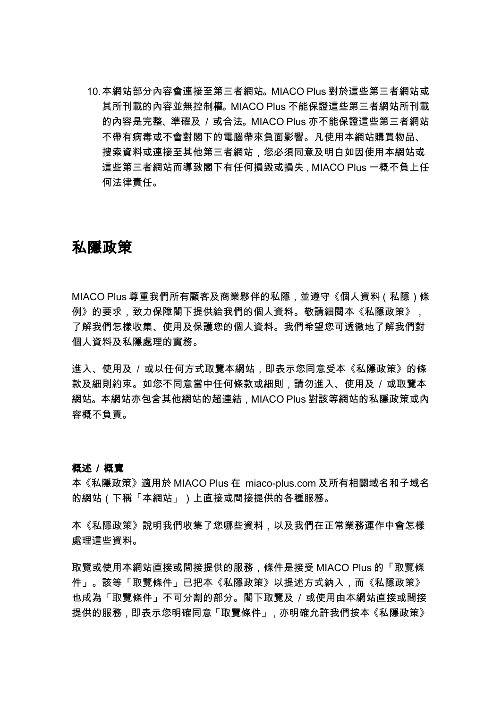10.本網站部分內容會連接至第三者網站。MIACO Plus 對於這些第三者網站或 其所刊載的內容並無控制權。MIACO Plus 不能保證這些第三者網站所刊載 的內容是完整、準確及 / 或合法。MIACO Plus 亦不能保證這些第三者網站 不帶有病毒或不會對閣下的電腦帶來負面影響。凡使用本網站購買物品、 搜索資料或連接至其他第三者網站,您必須同意及明白如因使用本網站或 這些第三者網站而導致閣下有任何損毀或損失,MIACO Plus 一概不負上任 何法律責任。

# 私隱政策

MIACO Plus 尊重我們所有顧客及商業夥伴的私隱,並遵守《個人資料(私隱)條 例》的要求,致力保障閣下提供給我們的個人資料。敬請細閱本《私隱政策》, 了解我們怎樣收集、使用及保護您的個人資料。我們希望您可透徹地了解我們對 個人資料及私隱處理的實務。

進入、使用及 / 或以任何方式取覽本網站,即表示您同意受本《私隱政策》的條 款及細則約束。如您不同意當中任何條款或細則,請勿進入、使用及 / 或取覽本 網站。本網站亦包含其他網站的超連結,MIACO Plus 對該等網站的私隱政策或內 容概不負責。

## 概述 / 概覽

本《私隱政策》適用於 MIACO Plus 在 miaco-plus.com 及所有相關域名和子域名 的網站(下稱「本網站」)上直接或間接提供的各種服務。

本《私隱政策》說明我們收集了您哪些資料,以及我們在正常業務運作中會怎樣 處理這些資料。

取覽或使用本網站直接或間接提供的服務,條件是接受 MIACO Plus 的「取覽條 件」。該等「取覽條件」已把本《私隱政策》以提述方式納入,而《私隱政策》 也成為「取覽條件」不可分割的部分。閣下取覽及 / 或使用由本網站直接或間接 提供的服務,即表示您明確同意「取覽條件」,亦明確允許我們按本《私隱政策》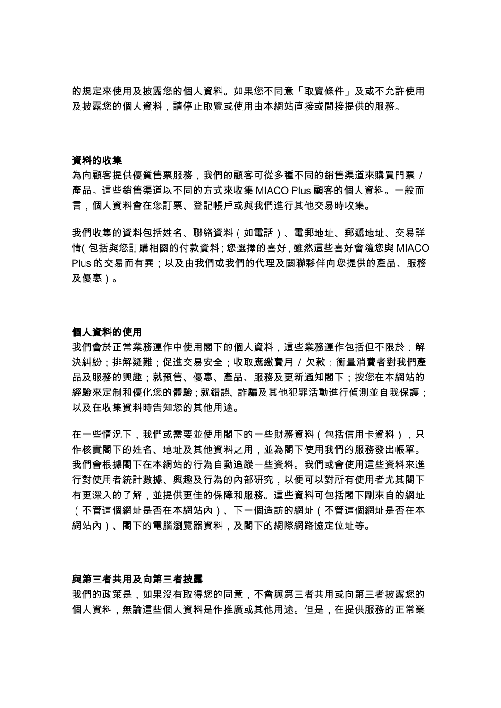的規定來使用及披露您的個人資料。如果您不同意「取覽條件」及或不允許使用 及披露您的個人資料,請停止取覽或使用由本網站直接或間接提供的服務。

#### 資料的收集

為向顧客提供優質售票服務,我們的顧客可從多種不同的銷售渠道來購買門票 / 產品。這些銷售渠道以不同的方式來收集 MIACO Plus 顧客的個人資料。一般而 言,個人資料會在您訂票、登記帳戶或與我們進行其他交易時收集。

我們收集的資料包括姓名、聯絡資料(如電話)、電郵地址、郵遞地址、交易詳 情(包括與您訂購相關的付款資料;您選擇的喜好,雖然這些喜好會隨您與 MIACO Plus 的交易而有異;以及由我們或我們的代理及關聯夥伴向您提供的產品、服務 及優惠)。

#### 個人資料的使用

我們會於正常業務運作中使用閣下的個人資料,這些業務運作包括但不限於:解 決糾紛;排解疑難;促進交易安全;收取應繳費用 / 欠款;衡量消費者對我們產 品及服務的興趣;就預售、優惠、產品、服務及更新通知閣下;按您在本網站的 經驗來定制和優化您的體驗;就錯誤、詐騙及其他犯罪活動進行偵測並自我保護; 以及在收集資料時告知您的其他用途。

在一些情況下,我們或需要並使用閣下的一些財務資料(包括信用卡資料),只 作核實閣下的姓名、地址及其他資料之用,並為閣下使用我們的服務發出帳單。 我們會根據閣下在本網站的行為自動追蹤一些資料。我們或會使用這些資料來進 行對使用者統計數據、興趣及行為的內部研究,以便可以對所有使用者尤其閣下 有更深入的了解,並提供更佳的保障和服務。這些資料可包括閣下剛來自的網址 (不管這個網址是否在本網站內)、下一個造訪的網址(不管這個網址是否在本 網站內)、閣下的電腦瀏覽器資料,及閣下的網際網路協定位址等。

### 與第三者共用及向第三者披露

我們的政策是,如果沒有取得您的同意,不會與第三者共用或向第三者披露您的 個人資料,無論這些個人資料是作推廣或其他用途。但是,在提供服務的正常業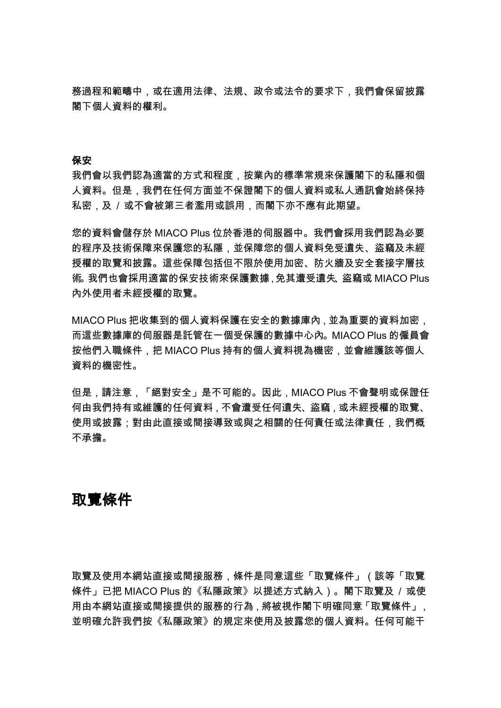務過程和範疇中,或在適用法律、法規、政令或法令的要求下,我們會保留披露 閣下個人資料的權利。

#### 保安

我們會以我們認為適當的方式和程度,按業內的標準常規來保護閣下的私隱和個 人資料。但是,我們在任何方面並不保證閣下的個人資料或私人通訊會始終保持 私密, 及 / 或不會被第三者濫用或誤用, 而閣下亦不應有此期望。

您的資料會儲存於 MIACO Plus 位於香港的伺服器中。我們會採用我們認為必要 的程序及技術保障來保護您的私隱,並保障您的個人資料免受遺失、盜竊及未經 授權的取覽和披露。這些保障包括但不限於使用加密、防火牆及安全套接字層技 術。我們也會採用適當的保安技術來保護數據,免其遭受遺失、盜竊或 MIACO Plus 內外使用者未經授權的取覽。

MIACO Plus 把收集到的個人資料保護在安全的數據庫內,並為重要的資料加密, 而這些數據庫的伺服器是託管在一個受保護的數據中心內。MIACO Plus 的僱員會 按他們入職條件,把 MIACO Plus 持有的個人資料視為機密,並會維護該等個人 資料的機密性。

但是,請注意,「絕對安全」是不可能的。因此,MIACO Plus 不會聲明或保證任 何由我們持有或維護的任何資料,不會遭受任何遺失、盜竊,或未經授權的取覽、 使用或披露;對由此直接或間接導致或與之相關的任何責任或法律責任,我們概 不承擔。

# 取覽條件

取覽及使用本網站直接或間接服務,條件是同意這些「取覽條件」(該等「取覽 條件」已把 MIACO Plus 的《私隱政策》以提述方式納入)。閣下取覽及 / 或使 用由本網站直接或間接提供的服務的行為,將被視作閣下明確同意「取覽條件」。 並明確允許我們按《私隱政策》的規定來使用及披露您的個人資料。任何可能干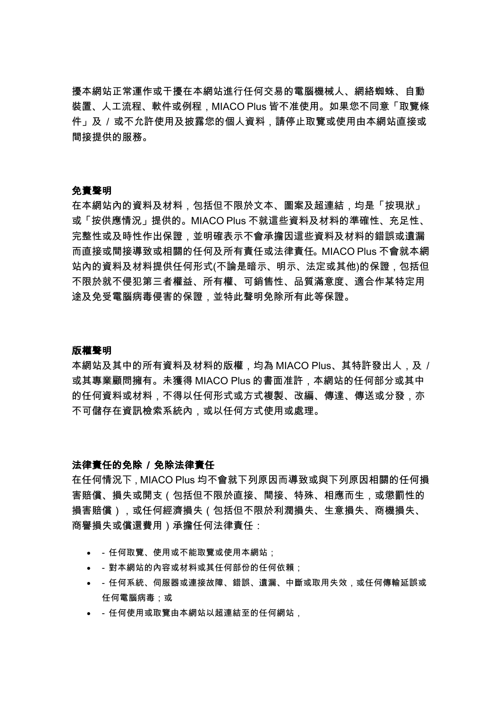擾本網站正常運作或干擾在本網站進行任何交易的電腦機械人、網絡蜘蛛、自動 裝置、人工流程、軟件或例程,MIACO Plus 皆不准使用。如果您不同意「取覽條 件」及 / 或不允許使用及披露您的個人資料,請停止取覽或使用由本網站直接或 間接提供的服務。

### 免責聲明

在本網站內的資料及材料,包括但不限於文本、圖案及超連結,均是「按現狀」 或「按供應情況」提供的。MIACO Plus 不就這些資料及材料的準確性、充足性、 完整性或及時性作出保證,並明確表示不會承擔因這些資料及材料的錯誤或遺漏 而直接或間接導致或相關的任何及所有責任或法律責任。MIACO Plus 不會就本網 站內的資料及材料提供任何形式(不論是暗示、明示、法定或其他)的保證,包括但 不限於就不侵犯第三者權益、所有權、可銷售性、品質滿意度、適合作某特定用 途及免受電腦病毒侵害的保證,並特此聲明免除所有此等保證。

#### 版權聲明

本網站及其中的所有資料及材料的版權,均為 MIACO Plus、其特許發出人, 及 / 或其專業顧問擁有。未獲得 MIACO Plus 的書面准許,本網站的任何部分或其中 的任何資料或材料,不得以任何形式或方式複製、改編、傳達、傳送或分發,亦 不可儲存在資訊檢索系統內,或以任何方式使用或處理。

### 法律責任的免除 / 免除法律責任

在任何情況下,MIACO Plus 均不會就下列原因而導致或與下列原因相關的任何損 害賠償、損失或開支(包括但不限於直接、間接、特殊、相應而生,或懲罰性的 損害賠償),或任何經濟損失(包括但不限於利潤損失、生意損失、商機損失、 商譽損失或償還費用)承擔任何法律責任:

- - 任何取覽、使用或不能取覽或使用本網站;
- - 對本網站的內容或材料或其任何部份的任何依賴;
- - 任何系統、伺服器或連接故障、錯誤、遺漏、中斷或取用失效,或任何傳輸延誤或 任何電腦病毒;或
- - 任何使用或取覽由本網站以超連結至的任何網站,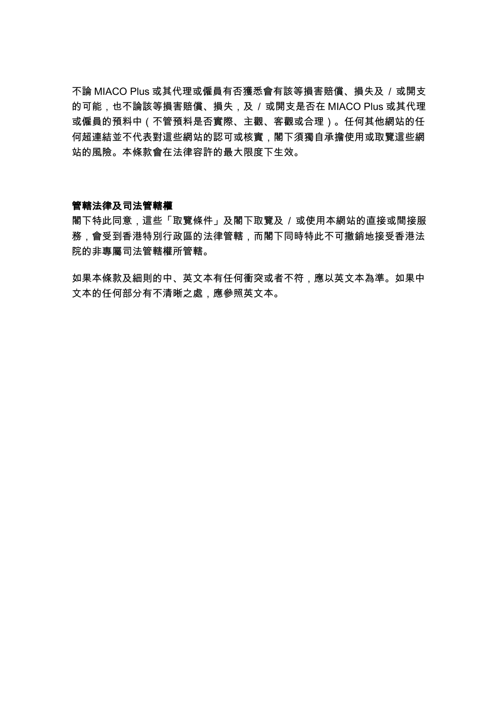不論 MIACO Plus 或其代理或僱員有否獲悉會有該等損害賠償、損失及 / 或開支 的可能,也不論該等損害賠償、損失,及 / 或開支是否在 MIACO Plus 或其代理 或僱員的預料中(不管預料是否實際、主觀、客觀或合理)。任何其他網站的任 何超連結並不代表對這些網站的認可或核實,閣下須獨自承擔使用或取覽這些網 站的風險。本條款會在法律容許的最大限度下生效。

## 管轄法律及司法管轄權

閣下特此同意,這些「取覽條件」及閣下取覽及 / 或使用本網站的直接或間接服 務,會受到香港特別行政區的法律管轄,而閣下同時特此不可撤銷地接受香港法 院的非專屬司法管轄權所管轄。

如果本條款及細則的中、英文本有任何衝突或者不符,應以英文本為準。如果中 文本的任何部分有不清晰之處,應參照英文本。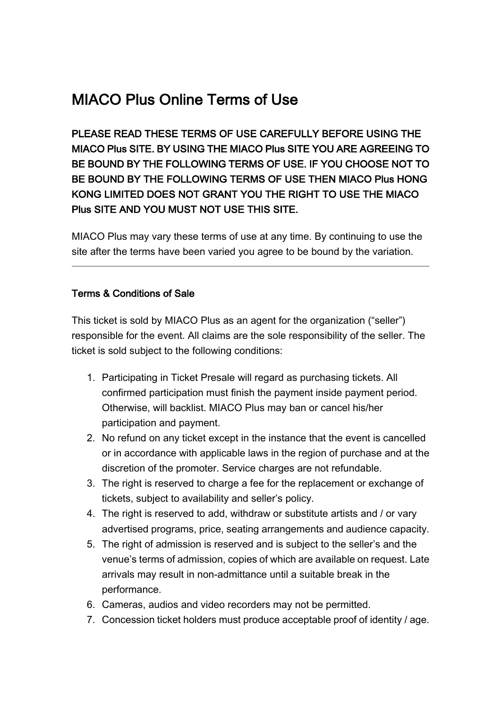# MIACO Plus Online Terms of Use

PLEASE READ THESE TERMS OF USE CAREFULLY BEFORE USING THE MIACO Plus SITE. BY USING THE MIACO Plus SITE YOU ARE AGREEING TO BE BOUND BY THE FOLLOWING TERMS OF USE. IF YOU CHOOSE NOT TO BE BOUND BY THE FOLLOWING TERMS OF USE THEN MIACO Plus HONG KONG LIMITED DOES NOT GRANT YOU THE RIGHT TO USE THE MIACO Plus SITE AND YOU MUST NOT USE THIS SITE.

MIACO Plus may vary these terms of use at any time. By continuing to use the site after the terms have been varied you agree to be bound by the variation.

# Terms & Conditions of Sale

This ticket is sold by MIACO Plus as an agent for the organization ("seller") responsible for the event. All claims are the sole responsibility of the seller. The ticket is sold subject to the following conditions:

- 1. Participating in Ticket Presale will regard as purchasing tickets. All confirmed participation must finish the payment inside payment period. Otherwise, will backlist. MIACO Plus may ban or cancel his/her participation and payment.
- 2. No refund on any ticket except in the instance that the event is cancelled or in accordance with applicable laws in the region of purchase and at the discretion of the promoter. Service charges are not refundable.
- 3. The right is reserved to charge a fee for the replacement or exchange of tickets, subject to availability and seller's policy.
- 4. The right is reserved to add, withdraw or substitute artists and / or vary advertised programs, price, seating arrangements and audience capacity.
- 5. The right of admission is reserved and is subject to the seller's and the venue's terms of admission, copies of which are available on request. Late arrivals may result in non-admittance until a suitable break in the performance.
- 6. Cameras, audios and video recorders may not be permitted.
- 7. Concession ticket holders must produce acceptable proof of identity / age.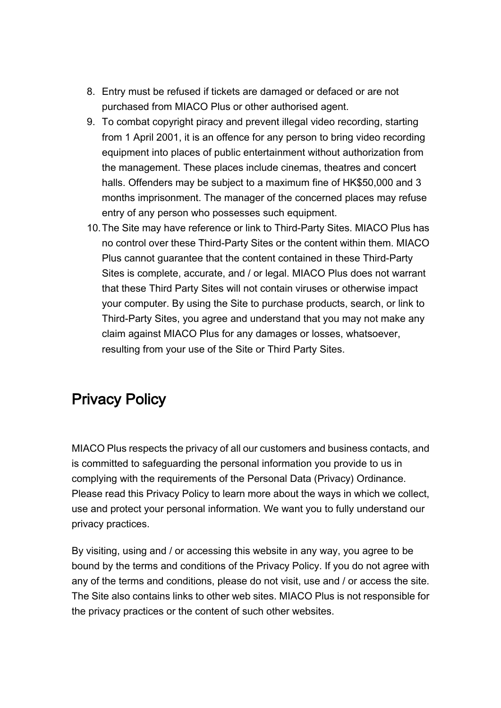- 8. Entry must be refused if tickets are damaged or defaced or are not purchased from MIACO Plus or other authorised agent.
- 9. To combat copyright piracy and prevent illegal video recording, starting from 1 April 2001, it is an offence for any person to bring video recording equipment into places of public entertainment without authorization from the management. These places include cinemas, theatres and concert halls. Offenders may be subject to a maximum fine of HK\$50,000 and 3 months imprisonment. The manager of the concerned places may refuse entry of any person who possesses such equipment.
- 10.The Site may have reference or link to Third-Party Sites. MIACO Plus has no control over these Third-Party Sites or the content within them. MIACO Plus cannot guarantee that the content contained in these Third-Party Sites is complete, accurate, and / or legal. MIACO Plus does not warrant that these Third Party Sites will not contain viruses or otherwise impact your computer. By using the Site to purchase products, search, or link to Third-Party Sites, you agree and understand that you may not make any claim against MIACO Plus for any damages or losses, whatsoever, resulting from your use of the Site or Third Party Sites.

# Privacy Policy

MIACO Plus respects the privacy of all our customers and business contacts, and is committed to safeguarding the personal information you provide to us in complying with the requirements of the Personal Data (Privacy) Ordinance. Please read this Privacy Policy to learn more about the ways in which we collect, use and protect your personal information. We want you to fully understand our privacy practices.

By visiting, using and / or accessing this website in any way, you agree to be bound by the terms and conditions of the Privacy Policy. If you do not agree with any of the terms and conditions, please do not visit, use and / or access the site. The Site also contains links to other web sites. MIACO Plus is not responsible for the privacy practices or the content of such other websites.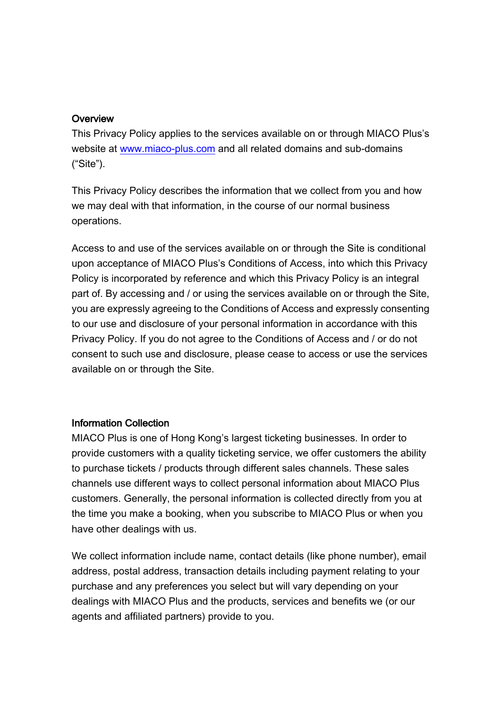## **Overview**

This Privacy Policy applies to the services available on or through MIACO Plus's website at www.miaco-plus.com and all related domains and sub-domains ("Site").

This Privacy Policy describes the information that we collect from you and how we may deal with that information, in the course of our normal business operations.

Access to and use of the services available on or through the Site is conditional upon acceptance of MIACO Plus's Conditions of Access, into which this Privacy Policy is incorporated by reference and which this Privacy Policy is an integral part of. By accessing and / or using the services available on or through the Site, you are expressly agreeing to the Conditions of Access and expressly consenting to our use and disclosure of your personal information in accordance with this Privacy Policy. If you do not agree to the Conditions of Access and / or do not consent to such use and disclosure, please cease to access or use the services available on or through the Site.

## Information Collection

MIACO Plus is one of Hong Kong's largest ticketing businesses. In order to provide customers with a quality ticketing service, we offer customers the ability to purchase tickets / products through different sales channels. These sales channels use different ways to collect personal information about MIACO Plus customers. Generally, the personal information is collected directly from you at the time you make a booking, when you subscribe to MIACO Plus or when you have other dealings with us.

We collect information include name, contact details (like phone number), email address, postal address, transaction details including payment relating to your purchase and any preferences you select but will vary depending on your dealings with MIACO Plus and the products, services and benefits we (or our agents and affiliated partners) provide to you.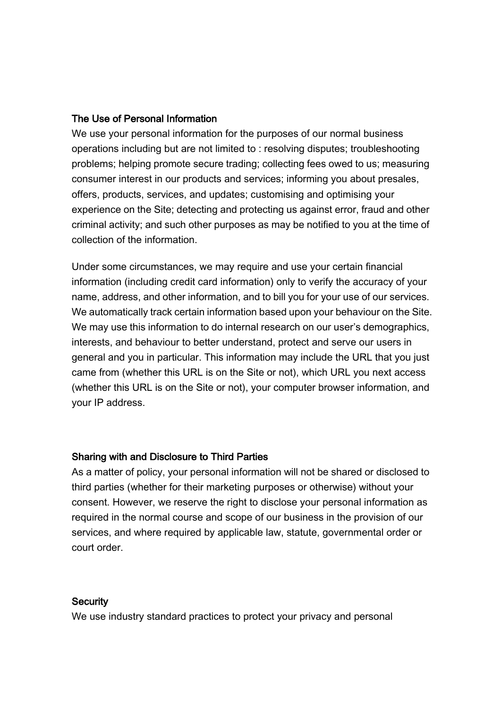## The Use of Personal Information

We use your personal information for the purposes of our normal business operations including but are not limited to : resolving disputes; troubleshooting problems; helping promote secure trading; collecting fees owed to us; measuring consumer interest in our products and services; informing you about presales, offers, products, services, and updates; customising and optimising your experience on the Site; detecting and protecting us against error, fraud and other criminal activity; and such other purposes as may be notified to you at the time of collection of the information.

Under some circumstances, we may require and use your certain financial information (including credit card information) only to verify the accuracy of your name, address, and other information, and to bill you for your use of our services. We automatically track certain information based upon your behaviour on the Site. We may use this information to do internal research on our user's demographics, interests, and behaviour to better understand, protect and serve our users in general and you in particular. This information may include the URL that you just came from (whether this URL is on the Site or not), which URL you next access (whether this URL is on the Site or not), your computer browser information, and your IP address.

## Sharing with and Disclosure to Third Parties

As a matter of policy, your personal information will not be shared or disclosed to third parties (whether for their marketing purposes or otherwise) without your consent. However, we reserve the right to disclose your personal information as required in the normal course and scope of our business in the provision of our services, and where required by applicable law, statute, governmental order or court order.

## **Security**

We use industry standard practices to protect your privacy and personal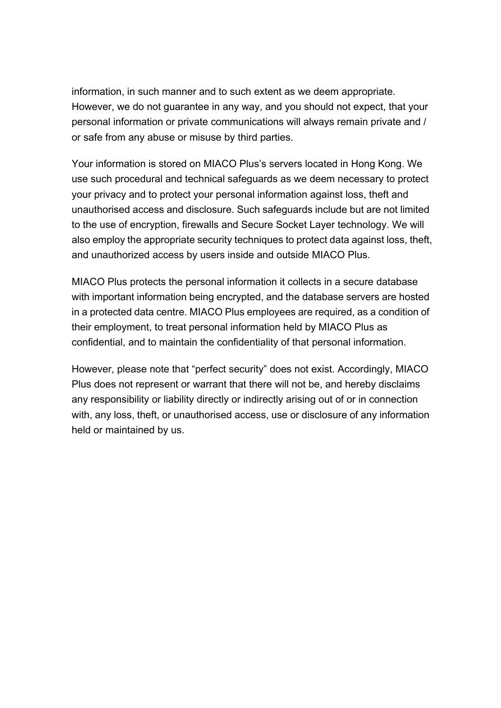information, in such manner and to such extent as we deem appropriate. However, we do not guarantee in any way, and you should not expect, that your personal information or private communications will always remain private and / or safe from any abuse or misuse by third parties.

Your information is stored on MIACO Plus's servers located in Hong Kong. We use such procedural and technical safeguards as we deem necessary to protect your privacy and to protect your personal information against loss, theft and unauthorised access and disclosure. Such safeguards include but are not limited to the use of encryption, firewalls and Secure Socket Layer technology. We will also employ the appropriate security techniques to protect data against loss, theft, and unauthorized access by users inside and outside MIACO Plus.

MIACO Plus protects the personal information it collects in a secure database with important information being encrypted, and the database servers are hosted in a protected data centre. MIACO Plus employees are required, as a condition of their employment, to treat personal information held by MIACO Plus as confidential, and to maintain the confidentiality of that personal information.

However, please note that "perfect security" does not exist. Accordingly, MIACO Plus does not represent or warrant that there will not be, and hereby disclaims any responsibility or liability directly or indirectly arising out of or in connection with, any loss, theft, or unauthorised access, use or disclosure of any information held or maintained by us.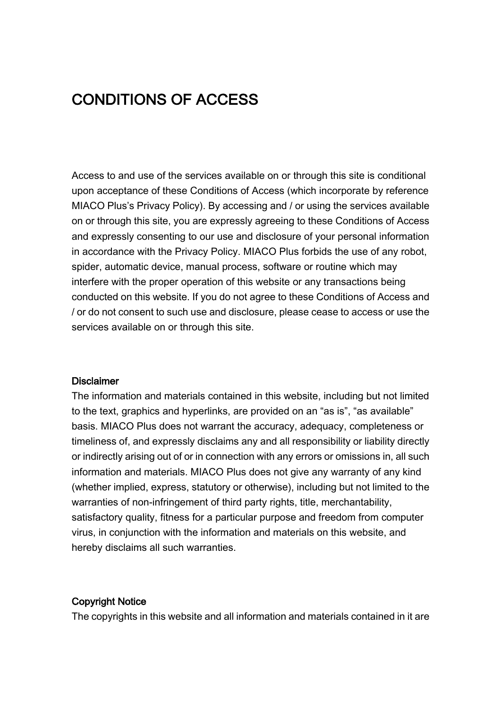# CONDITIONS OF ACCESS

Access to and use of the services available on or through this site is conditional upon acceptance of these Conditions of Access (which incorporate by reference MIACO Plus's Privacy Policy). By accessing and / or using the services available on or through this site, you are expressly agreeing to these Conditions of Access and expressly consenting to our use and disclosure of your personal information in accordance with the Privacy Policy. MIACO Plus forbids the use of any robot, spider, automatic device, manual process, software or routine which may interfere with the proper operation of this website or any transactions being conducted on this website. If you do not agree to these Conditions of Access and / or do not consent to such use and disclosure, please cease to access or use the services available on or through this site.

### Disclaimer

The information and materials contained in this website, including but not limited to the text, graphics and hyperlinks, are provided on an "as is", "as available" basis. MIACO Plus does not warrant the accuracy, adequacy, completeness or timeliness of, and expressly disclaims any and all responsibility or liability directly or indirectly arising out of or in connection with any errors or omissions in, all such information and materials. MIACO Plus does not give any warranty of any kind (whether implied, express, statutory or otherwise), including but not limited to the warranties of non-infringement of third party rights, title, merchantability, satisfactory quality, fitness for a particular purpose and freedom from computer virus, in conjunction with the information and materials on this website, and hereby disclaims all such warranties.

## Copyright Notice

The copyrights in this website and all information and materials contained in it are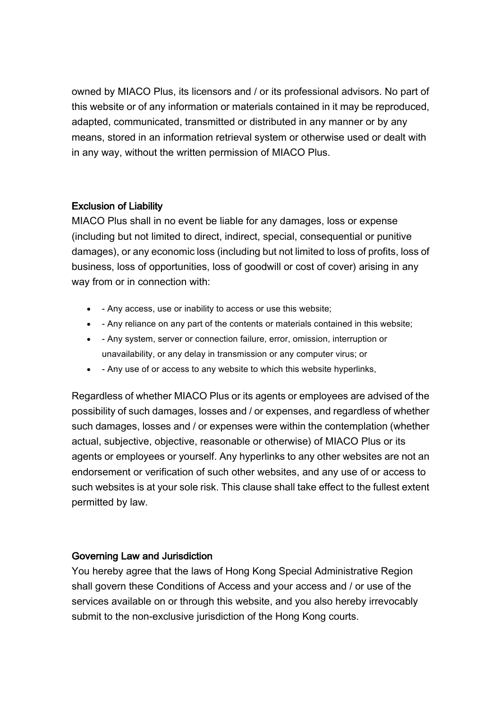owned by MIACO Plus, its licensors and / or its professional advisors. No part of this website or of any information or materials contained in it may be reproduced, adapted, communicated, transmitted or distributed in any manner or by any means, stored in an information retrieval system or otherwise used or dealt with in any way, without the written permission of MIACO Plus.

# Exclusion of Liability

MIACO Plus shall in no event be liable for any damages, loss or expense (including but not limited to direct, indirect, special, consequential or punitive damages), or any economic loss (including but not limited to loss of profits, loss of business, loss of opportunities, loss of goodwill or cost of cover) arising in any way from or in connection with:

- - Any access, use or inability to access or use this website;
- - Any reliance on any part of the contents or materials contained in this website;
- - Any system, server or connection failure, error, omission, interruption or unavailability, or any delay in transmission or any computer virus; or
- - Any use of or access to any website to which this website hyperlinks,

Regardless of whether MIACO Plus or its agents or employees are advised of the possibility of such damages, losses and / or expenses, and regardless of whether such damages, losses and / or expenses were within the contemplation (whether actual, subjective, objective, reasonable or otherwise) of MIACO Plus or its agents or employees or yourself. Any hyperlinks to any other websites are not an endorsement or verification of such other websites, and any use of or access to such websites is at your sole risk. This clause shall take effect to the fullest extent permitted by law.

# Governing Law and Jurisdiction

You hereby agree that the laws of Hong Kong Special Administrative Region shall govern these Conditions of Access and your access and / or use of the services available on or through this website, and you also hereby irrevocably submit to the non-exclusive jurisdiction of the Hong Kong courts.